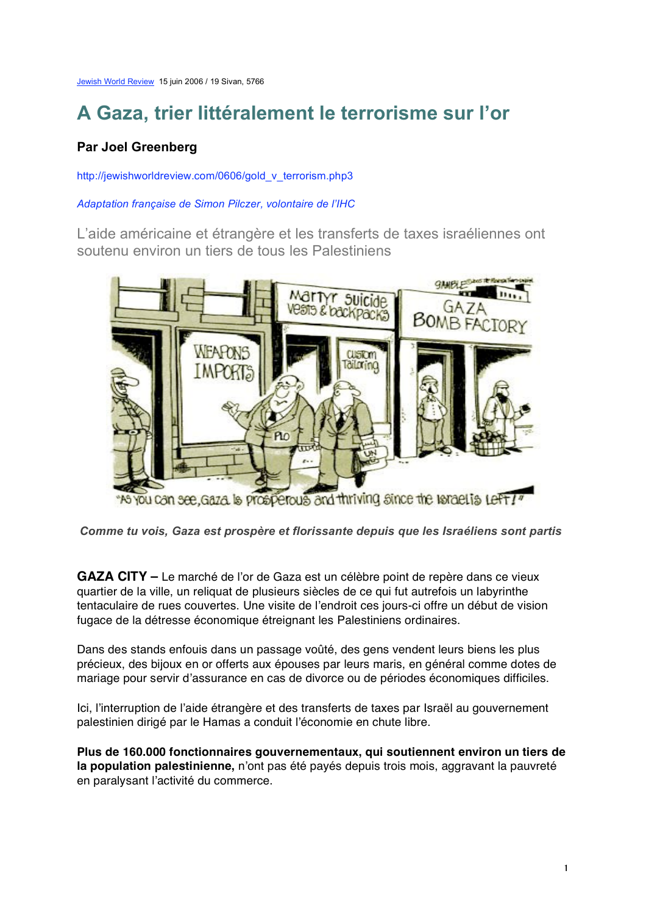Jewish World Review 15 juin 2006 / 19 Sivan, 5766

# **A Gaza, trier littéralement le terrorisme sur l'or**

## **Par Joel Greenberg**

http://jewishworldreview.com/0606/gold\_v\_terrorism.php3

#### *Adaptation française de Simon Pilczer, volontaire de l'IHC*

L'aide américaine et étrangère et les transferts de taxes israéliennes ont soutenu environ un tiers de tous les Palestiniens



*Comme tu vois, Gaza est prospère et florissante depuis que les Israéliens sont partis*

**GAZA CITY –** Le marché de l'or de Gaza est un célèbre point de repère dans ce vieux quartier de la ville, un reliquat de plusieurs siècles de ce qui fut autrefois un labyrinthe tentaculaire de rues couvertes. Une visite de l'endroit ces jours-ci offre un début de vision fugace de la détresse économique étreignant les Palestiniens ordinaires.

Dans des stands enfouis dans un passage voûté, des gens vendent leurs biens les plus précieux, des bijoux en or offerts aux épouses par leurs maris, en général comme dotes de mariage pour servir d'assurance en cas de divorce ou de périodes économiques difficiles.

Ici, l'interruption de l'aide étrangère et des transferts de taxes par Israël au gouvernement palestinien dirigé par le Hamas a conduit l'économie en chute libre.

**Plus de 160.000 fonctionnaires gouvernementaux, qui soutiennent environ un tiers de la population palestinienne,** n'ont pas été payés depuis trois mois, aggravant la pauvreté en paralysant l'activité du commerce.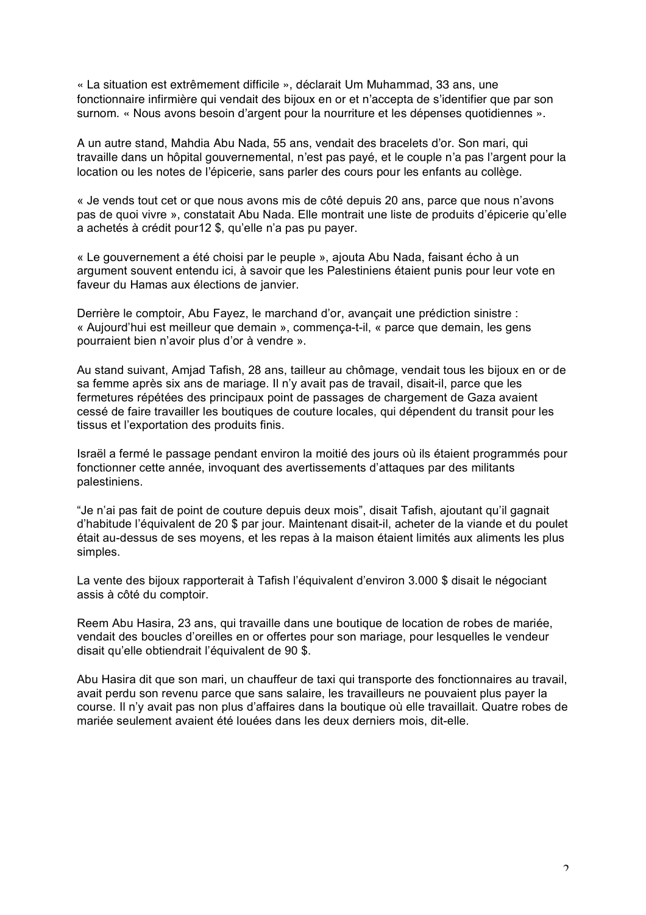« La situation est extrêmement difficile », déclarait Um Muhammad, 33 ans, une fonctionnaire infirmière qui vendait des bijoux en or et n'accepta de s'identifier que par son surnom. « Nous avons besoin d'argent pour la nourriture et les dépenses quotidiennes ».

A un autre stand, Mahdia Abu Nada, 55 ans, vendait des bracelets d'or. Son mari, qui travaille dans un hôpital gouvernemental, n'est pas payé, et le couple n'a pas l'argent pour la location ou les notes de l'épicerie, sans parler des cours pour les enfants au collège.

« Je vends tout cet or que nous avons mis de côté depuis 20 ans, parce que nous n'avons pas de quoi vivre », constatait Abu Nada. Elle montrait une liste de produits d'épicerie qu'elle a achetés à crédit pour12 \$, qu'elle n'a pas pu payer.

« Le gouvernement a été choisi par le peuple », ajouta Abu Nada, faisant écho à un argument souvent entendu ici, à savoir que les Palestiniens étaient punis pour leur vote en faveur du Hamas aux élections de janvier.

Derrière le comptoir, Abu Fayez, le marchand d'or, avançait une prédiction sinistre : « Aujourd'hui est meilleur que demain », commença-t-il, « parce que demain, les gens pourraient bien n'avoir plus d'or à vendre ».

Au stand suivant, Amjad Tafish, 28 ans, tailleur au chômage, vendait tous les bijoux en or de sa femme après six ans de mariage. Il n'y avait pas de travail, disait-il, parce que les fermetures répétées des principaux point de passages de chargement de Gaza avaient cessé de faire travailler les boutiques de couture locales, qui dépendent du transit pour les tissus et l'exportation des produits finis.

Israël a fermé le passage pendant environ la moitié des jours où ils étaient programmés pour fonctionner cette année, invoquant des avertissements d'attaques par des militants palestiniens.

"Je n'ai pas fait de point de couture depuis deux mois", disait Tafish, ajoutant qu'il gagnait d'habitude l'équivalent de 20 \$ par jour. Maintenant disait-il, acheter de la viande et du poulet était au-dessus de ses moyens, et les repas à la maison étaient limités aux aliments les plus simples.

La vente des bijoux rapporterait à Tafish l'équivalent d'environ 3.000 \$ disait le négociant assis à côté du comptoir.

Reem Abu Hasira, 23 ans, qui travaille dans une boutique de location de robes de mariée, vendait des boucles d'oreilles en or offertes pour son mariage, pour lesquelles le vendeur disait qu'elle obtiendrait l'équivalent de 90 \$.

Abu Hasira dit que son mari, un chauffeur de taxi qui transporte des fonctionnaires au travail, avait perdu son revenu parce que sans salaire, les travailleurs ne pouvaient plus payer la course. Il n'y avait pas non plus d'affaires dans la boutique où elle travaillait. Quatre robes de mariée seulement avaient été louées dans les deux derniers mois, dit-elle.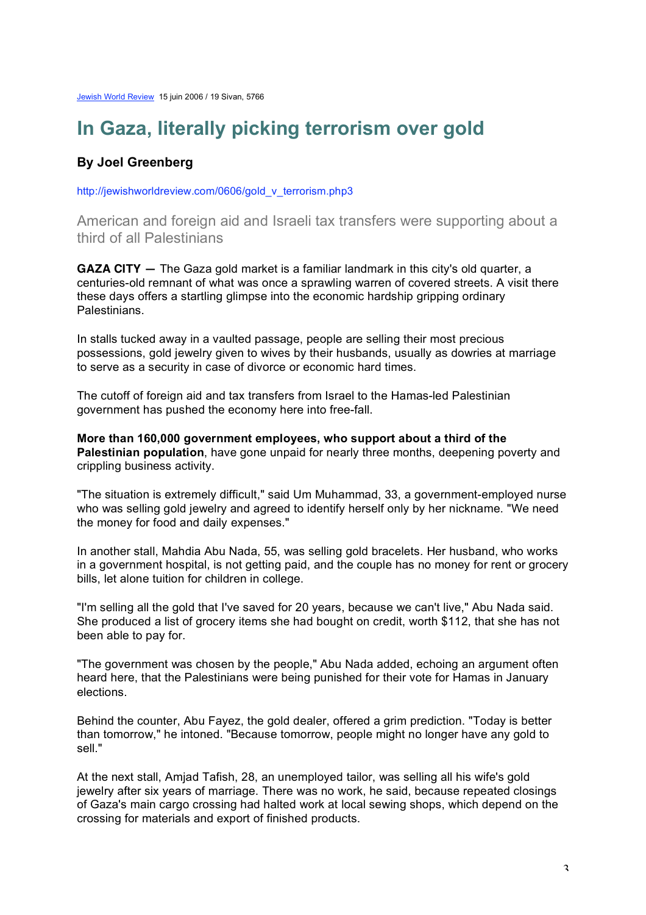## **In Gaza, literally picking terrorism over gold**

### **By Joel Greenberg**

http://jewishworldreview.com/0606/gold\_v\_terrorism.php3

American and foreign aid and Israeli tax transfers were supporting about a third of all Palestinians

**GAZA CITY —** The Gaza gold market is a familiar landmark in this city's old quarter, a centuries-old remnant of what was once a sprawling warren of covered streets. A visit there these days offers a startling glimpse into the economic hardship gripping ordinary Palestinians.

In stalls tucked away in a vaulted passage, people are selling their most precious possessions, gold jewelry given to wives by their husbands, usually as dowries at marriage to serve as a security in case of divorce or economic hard times.

The cutoff of foreign aid and tax transfers from Israel to the Hamas-led Palestinian government has pushed the economy here into free-fall.

**More than 160,000 government employees, who support about a third of the Palestinian population**, have gone unpaid for nearly three months, deepening poverty and crippling business activity.

"The situation is extremely difficult," said Um Muhammad, 33, a government-employed nurse who was selling gold jewelry and agreed to identify herself only by her nickname. "We need the money for food and daily expenses."

In another stall, Mahdia Abu Nada, 55, was selling gold bracelets. Her husband, who works in a government hospital, is not getting paid, and the couple has no money for rent or grocery bills, let alone tuition for children in college.

"I'm selling all the gold that I've saved for 20 years, because we can't live," Abu Nada said. She produced a list of grocery items she had bought on credit, worth \$112, that she has not been able to pay for.

"The government was chosen by the people," Abu Nada added, echoing an argument often heard here, that the Palestinians were being punished for their vote for Hamas in January elections.

Behind the counter, Abu Fayez, the gold dealer, offered a grim prediction. "Today is better than tomorrow," he intoned. "Because tomorrow, people might no longer have any gold to sell."

At the next stall, Amjad Tafish, 28, an unemployed tailor, was selling all his wife's gold jewelry after six years of marriage. There was no work, he said, because repeated closings of Gaza's main cargo crossing had halted work at local sewing shops, which depend on the crossing for materials and export of finished products.